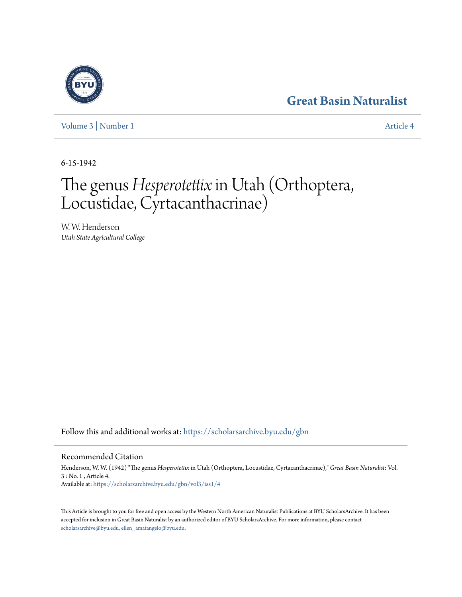# **[Great Basin Naturalist](https://scholarsarchive.byu.edu/gbn?utm_source=scholarsarchive.byu.edu%2Fgbn%2Fvol3%2Fiss1%2F4&utm_medium=PDF&utm_campaign=PDFCoverPages)**

[Volume 3](https://scholarsarchive.byu.edu/gbn/vol3?utm_source=scholarsarchive.byu.edu%2Fgbn%2Fvol3%2Fiss1%2F4&utm_medium=PDF&utm_campaign=PDFCoverPages) | [Number 1](https://scholarsarchive.byu.edu/gbn/vol3/iss1?utm_source=scholarsarchive.byu.edu%2Fgbn%2Fvol3%2Fiss1%2F4&utm_medium=PDF&utm_campaign=PDFCoverPages) [Article 4](https://scholarsarchive.byu.edu/gbn/vol3/iss1/4?utm_source=scholarsarchive.byu.edu%2Fgbn%2Fvol3%2Fiss1%2F4&utm_medium=PDF&utm_campaign=PDFCoverPages)

6-15-1942

# The genus*Hesperotettix* in Utah (Orthoptera, Locustidae, Cyrtacanthacrinae)

W. W. Henderson *Utah State Agricultural College*

Follow this and additional works at: [https://scholarsarchive.byu.edu/gbn](https://scholarsarchive.byu.edu/gbn?utm_source=scholarsarchive.byu.edu%2Fgbn%2Fvol3%2Fiss1%2F4&utm_medium=PDF&utm_campaign=PDFCoverPages)

# Recommended Citation

Henderson, W. W. (1942) "The genus *Hesperotettix* in Utah (Orthoptera, Locustidae, Cyrtacanthacrinae)," *Great Basin Naturalist*: Vol. 3 : No. 1 , Article 4. Available at: [https://scholarsarchive.byu.edu/gbn/vol3/iss1/4](https://scholarsarchive.byu.edu/gbn/vol3/iss1/4?utm_source=scholarsarchive.byu.edu%2Fgbn%2Fvol3%2Fiss1%2F4&utm_medium=PDF&utm_campaign=PDFCoverPages)

This Article is brought to you for free and open access by the Western North American Naturalist Publications at BYU ScholarsArchive. It has been accepted for inclusion in Great Basin Naturalist by an authorized editor of BYU ScholarsArchive. For more information, please contact [scholarsarchive@byu.edu, ellen\\_amatangelo@byu.edu.](mailto:scholarsarchive@byu.edu,%20ellen_amatangelo@byu.edu)

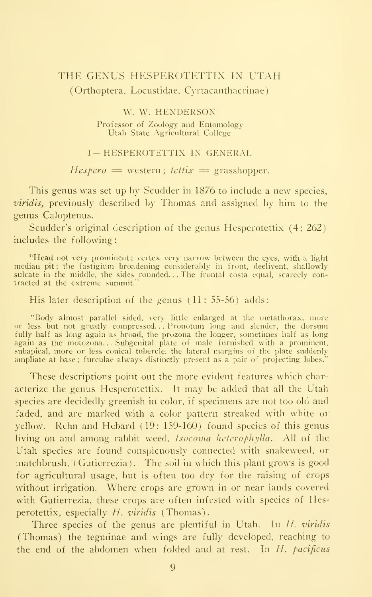# THE GENUS HESPEROTETTIX IN UTAH (Orthoptera, Locustidae, Cyrtacanthacrinae)

#### W. W. HENDERSON

Professor of Zoology and Entomology Utah State Agricultural College

#### I— HESPEROTETTIX IN GENERAL

#### $Hespero =$  western; tettix = grasshopper.

This genus was set up by Scudder in 1876 to include a new species, *viridis*, previously described by Thomas and assigned by him to the genus Caloptenus.

Scudder's original description of the genus Hesperotettix (4: 262) includes the following

"Head not very prominent; vertex very narrow between the eyes, with a light median pit; the fastigium broadening considerably in front, declivent, shallowly sulcate in the middle, the sides rounded. . . The frontal costa equal, scarcely contracted at the extreme summit."

His later description of the genus  $(11: 55-56)$  adds:

"Body almost parallel sided, very little enlarged at tlie nietathorax, more or less but not greatly compressed...Pronotum long and slender, the dorsum fully half as long again as broad, the prozona the longer, sometimes half as long again as the motozona...Subgenital plate of male furnished with a prominent,<br>subapical, more or less conical tubercle, the lateral margins of the plate suddenly ampliate at base; furculae always distmctly present as a pair of projecting lobes."

These descriptions point out the more evident features which characterize the genus Hesperotettix. It may be added that all the Utah species are decidedly greenish in color, if specimens are not too old and faded, and are marked with a color pattern streaked with white or yellow. Rehn and Hebard (19: 159-160) found species of this genus living on and among rabbit weed, Isocoma heterophylla. All of the Utah species are found conspicuously connected with snakeweed, or matchbrush, (Gutierrezia). The soil in which this plant grows is good for agricultural usage, but is often too dry for the raising of crops without irrigation. Where crops are grown in or near lands covered with Gutierrezia, these crops are often infested with species of Hesperotettix, especially H. viridis (Thomas).

Three species of the genus are plentiful in Utah. In  $H$ . viridis (Thomas) the tegminae and wings are fully developed, reaching to the end of the abdomen when folded and at rest. In  $H$ , pacificus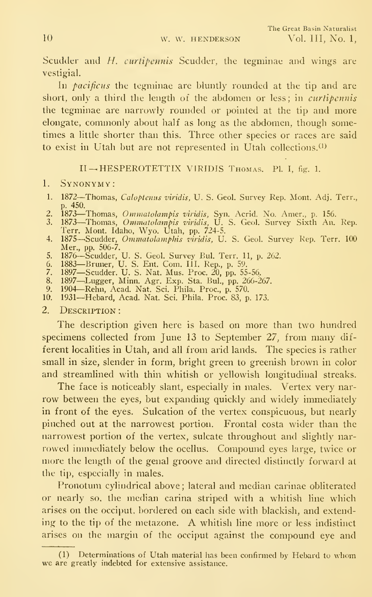Scudder and *H. curtipennis* Scudder, the tegminae and wings are vestigial.

In *pacificus* the tegminae are bluntly rounded at the tip and are short, only a third the length of the abdomen or less; in *curtipennis* the tegminae are narrowly rounded or pointed at the tip and more elongate, commonly about half as long as the abdomen, though sometimes a little shorter than this. Three other species or races are said to exist in Utah but are not represented in Utah collections.<sup>(1)</sup>

#### II — HESPEROTETTIX VIRIDIS Thomas. PI. I, fig. 1.

#### 1. Synonymy:

- 1. 1872—Thomas, *Caloptenus viridis*, U. S. Geol. Survey Rep. Mont. Adj. Terr., p. 450.
- p. 450.<br>2. 1873—Thomas, *Ommatolampis viridis,* Syn. Acrid. No. Amer., p. 156.<br>3. 1873—Thomas, *Ommatolampis viridis,* U. S. Geol. Survey Sixth An. Rep.
- Terr. Mont. Idaho, Wyo. Utah, pp. 724-5.<br>4. 1875—Scudder, *Ommatolamphis viridis,* U. S. Geol. Survey Rep. Terr. 100
- Men, pp. 506-7.
- 5. 1876—Scudder, U. S. Geol. Survey Bul. Terr. 11, p. 262.<br>6. 1883—Bruner, U. S. Ent. Com. III. Rep., p. 59.
- 
- 7. 1897—Scudder. U. S. Nat. Mus. Proc. 20, pp. 55-56.
- 8. 1897—Lugger, Minn. Agr. Exp. Sta. Bul., pp. 266-267.<br>9. 1904—Rehn, Acad. Nat. Sci. Phila. Proc., p. 570.
- 10. 1931-Hebard, Acad. Nat. Sci. Phila. Proc. 83, p. 173.
- 

# 2. Description :

The description given here is based on more than two hundred specimens collected from June <sup>13</sup> to September 27, from many dif ferent localities in Utah, and all from arid lands. The species is rather small in size, slender in form, bright green to greenish brown in color and streamlined with thin whitish or yellowish longitudinal streaks.

The face is noticeably slant, especially in males. Vertex very nar row between the eyes, but expanding quickly and widely immediately in front of the eyes. Sulcation of the vertex conspicuous, but nearly pinched out at the narrowest portion. Frontal costa wider than the narrowest portion of the vertex, sulcate throughout and slightly nar rowed immediately below the ocellus. Compound eyes large, twice or more the length of the genal groove and directed distinctly forward at the tip, especially in males.

Pronotum cylindrical above ; lateral and median carinae obliterated or nearly so, the median carina striped with a whitish line which arises on the occiput, bordered on each side with blackish, and extending to the tip of the metazone. A whitish line more or less indistinct arises on the margin of the occiput against the compound eye and

<sup>(1)</sup> Determinations of Utah material has been confirmed by Hebard to whom we are greatly indebted for extensive assistance.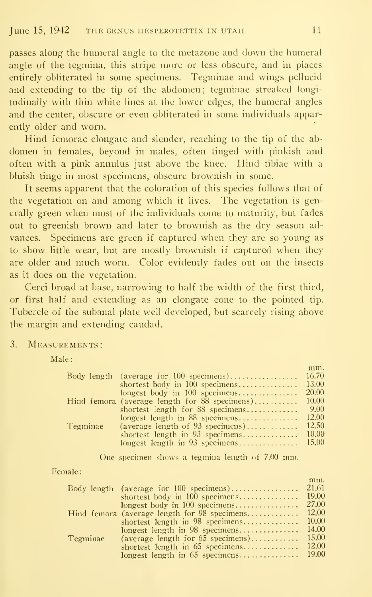passes along the humeral angle to the metazone and down the humeral angle of the tegmina, this stripe more or less obscure, and in places entirely obliterated in some specimens. Tegminae and wings pellucid and extending to the tip of the abdomen; tegminae streaked longitudinally with thin white lines at the lower edges, the humeral angles and the center, obscure or even obliterated in some individuals apparently older and worn.

Hind femorae elongate and slender, reaching to the tip of the ab domen in females, beyond in males, often tinged with pinkish and often with a pink annulus just above the knee. Hind tibiae with a bluish tinge in most specimens, obscure brownish in some.

It seems apparent that the coloration of this species follows that of the vegetation on and among which it lives. The vegetation is generally green when most of the individuals come to maturity, but fades out to greenish brown and later to brownish as the dry season advances. Specimens are green if captured when they are so young as to show little wear, but are mostly brownish if captured when they are older and much worn. Color evidently fades out on the insects as it does on the vegetation.

Cerci broad at base, narrowing to half the width of the first third, or first half and extending as an elongate cone to the pointed tip. Tubercle of the subanal plate well developed, but scarcely rising above the margin and extending caudad.

3. MEASUREMENTS:

Male:

|                 |                                                 | mm.    |
|-----------------|-------------------------------------------------|--------|
|                 | Body length (average for $100$ specimens)       | 16.70  |
|                 | shortest body in $100$ specimens                | 13.00  |
|                 | longest body in $100$ specimens                 | 20.00  |
|                 | Hind femora (average length for $88$ specimens) | 10.00  |
|                 | shortest length for $88$ specimens              | 9.00   |
|                 | longest length in $88$ specimens                | 12.00  |
| <b>Tegminae</b> | (average length of $93$ specimens)              | 12.50  |
|                 | shortest length in $93$ specimens               | 10.00  |
|                 | longest length in $93$ specimens                | -15.00 |
|                 |                                                 |        |

One specimen shows <sup>a</sup> tegmina length of 7.00 mm.

Female

|          |                                                | mm.          |
|----------|------------------------------------------------|--------------|
|          | Body length (average for $100$ specimens)      | 21.61        |
|          | shortest body in $100$ specimens               | 19.00        |
|          | longest body in $100$ specimens                | 27.00        |
|          | Hind femora (average length for $98$ specimens | <b>12.00</b> |
|          | shortest length in $98$ specimens              | 10.00        |
|          | longest length in $98$ specimens               | 14.00        |
| Tegminae | (average length for $65$ specimens)            | 15.00        |
|          | shortest length in $65$ specimens              | 12.00        |
|          | longest length in 65 specimens 19.00           |              |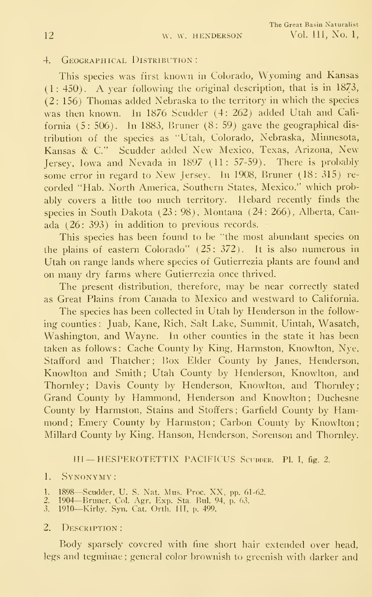#### 4. GEOGRAPHICAL DISTRIBUTION:

This species was first known in Colorado, Wyoming and Kansas (1: 450). A year following the original description, that is in 1873, (2: 156) Thomas added Nebraska to the territory in which the species was then known. In 1876 Scudder (4: 262) added Utah and Cali fornia (5: 506). In 1883, Bruner (8: 59) gave the geographical dis tribution of the species as "Utah, Colorado, Nebraska, Minnesota, Kansas & C." Scudder added New Mexico, Texas, Arizona, New Jersey, Iowa and Nevada in 1897 (11: 57-59). There is probably some error in regard to New Jersey. In 1908, Bruner (18: 315) re corded "Hab. North America, Southern States, Mexico," which probably covers a little too much territory. Hebard recently finds the species in South Dakota (23: 98), Montana (24: 266), Alberta, Canada (26: 393) in addition to previous records.

This species has been found to be "the most abundant species on the plains of eastern Colorado"  $(25: 372)$ . It is also numerous in Utah on range lands where species of Gutierrezia plants are found and on many dry farms where Gutierrezia once thrived.

The present distribution, therefore, may be near correctly stated as Great Plains from Canada to Mexico and westward to California.

The species has been collected in Utah by Henderson in the following counties: Juab, Kane, Rich, Salt Lake, Summit, Uintah, Wasatch, Washington, and Wayne. In other counties in the state it has been taken as follows : Cache County by King. Harmston, Knowlton, Nye, Stafford and Thatcher; Box Elder County by Janes, Henderson, Knowlton and Smith; Utah County by Henderson, Knowlton, and Thornley; Davis County by Henderson, Knowlton, and Thornley; Grand County by Hammond, Henderson and Knowlton ; Duchesne County by Harmston, Stains and Stoffers; Garfield County by Hammond; Emery County by Harmston; Carbon County by Knowlton; Millard County by King, Hanson, Henderson, Sorenson and Thornley.

#### III - HESPEROTETTIX PACIFICUS SCUPPER. PL I, fig. 2.

#### 1. Synonymy:

- 1. 1898—Scudder, U. S. Nat. Mus. Proc. XX, pp. 61-62.<br>2. 1904—Bruner, Col. Agr. Exp. Sta. Bul. 94, p. 63.
- 
- .3. 1910—Kirby, Syn. Cat. Orth. III. p. 499.

#### 2. DESCRIPTION:

Body sparsely covered with fine short hair extended over head, legs and tegminae; general color brownish to greenish with darker and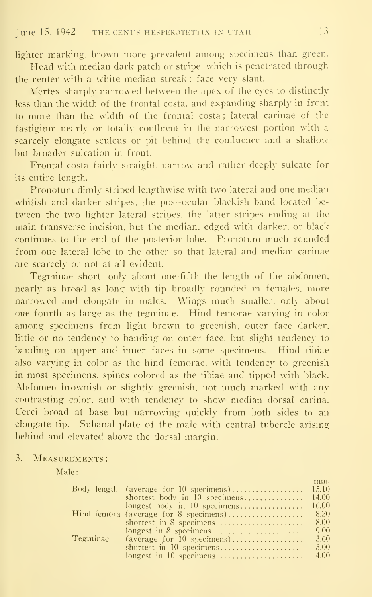lighter marking, brown more prevalent among specimens than green.

Head with median dark patch or stripe, which is penetrated through the center with a white median streak ; face very slant.

Vertex sharply narrowed between the apex of the eyes to distinctly less than the width of the frontal costa, and expanding sharply in front to more than the width of the frontal costa ; lateral carinae of the fastigium nearly or totally confluent in the narrowest portion with a scarcely elongate sculcus or pit behind the confluence and a shallow but broader sulcation in front.

Frontal costa fairly straight, narrow and rather deeply sulcate for its entire length.

Pronotum dimly striped lengthwise with two lateral and one median whitish and darker stripes, the post-ocular blackish band located between the two lighter lateral stripes, the latter stripes ending at the main transverse incision, but the median, edged with darker, or black continues to the end of the posterior lobe. Pronotum much rounded from one lateral lobe to the other so that lateral and median carinae are scarcely or not at all evident.

Tegminae short, only about one-fifth the length of the abdomen, nearly as broad as long with tip broadly rounded in females, more narrowed and elongate in males. Wings much smaller, only about one-fourth as large as the tegminae. Hind femorae varying in color among specimens from light brown to greenish, outer face darker, little or no tendency to banding on outer face, but slight tendency to banding on upper and inner faces in some specimens. Hind tibiae also varying in color as the hind femorae, with tendency to greenish in most specimens, spines colored as the tibiae and tipped with black. Abdomen brownish or slightly greenish, not much marked with any contrasting color, and with tendency to show median dorsal carina. Cerci broad at base but narrowing quickly from both sides to an elongate tip. Subanal plate of the male with central tubercle arising behind and elevated above the dorsal margin.

#### 3. Measurements:

Male:

|          |                                                                            | mm.  |
|----------|----------------------------------------------------------------------------|------|
|          |                                                                            |      |
|          |                                                                            |      |
|          |                                                                            |      |
|          | Hind femora (average for 8 specimens)                                      | 8.20 |
|          | shortest in 8 specimens                                                    | 8.00 |
|          |                                                                            | 9.00 |
| Tegminae | $(\text{average for } 10 \text{ specimens}) \dots \dots \dots \dots \dots$ | 3.60 |
|          | shortest in 10 specimens                                                   | 3.00 |
|          | longest in 10 specimens                                                    | 4.00 |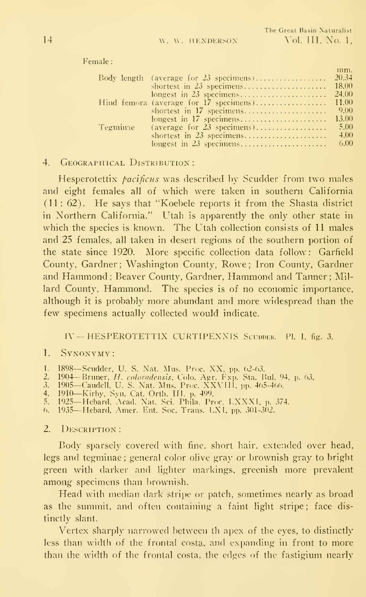| male :   |                                          |              |
|----------|------------------------------------------|--------------|
|          | Body length (average for $23$ specimens) | mm.<br>20.34 |
|          | shortest in $23$ specimens               | 18.00        |
|          | longest in $23$ specimens                | 24.00        |
|          | Hind femora (average for 17 specimens)   | 11.00        |
|          | shortest in $17$ specimens               | 9.00         |
|          | longest in $17$ specimens                | 13.00        |
| Tegminae | (average for $23$ specimens)             | 5.00         |
|          | shortest in $23$ specimens               | 4.00         |
|          | longest in $23$ specimens                | 6.00         |
|          |                                          |              |

#### 4. GEOGRAPHICAL DISTRIBUTION:

Hesperotettix *pacificus* was described by Scudder from two males and eight females all of which were taken in southern California (11: 62). He says that "Koebele reports it from the Shasta district in Northern California." Utah is apparently the only other state in which the species is known. The Utah collection consists of 11 males and 25 females, all taken in desert regions of the southern portion of the state since 1920. More specific collection data follow: Garfield County, Gardner ; Washington County, Rowe ; Iron County, Gardner and Hammond ; Beaver County. Gardner, Hammond and Tanner ; Millard County. Hammond. The species is of no economic importance, although it is probably more abundant and more widespread than the few specimens actually collected would indicate.

# IV — HESPEROTETTIX CURTIPENXIS Scuddek. PI. I, fig. 3.

#### 1. Synonymy:

- 1. 1898—Scudder, U. S. Nat. Mus. Proc. XX, pp. 62-63.
- 1. 1993—Scudder, U. S. Nat. Mus. 110C, AA, pp. 02-05.<br>2. 1904—Bruner, H. coloradensis, Colo. Agr. Fxp. Sta. Bul. 94, p. 63.<br>3. 1905—Caudell, U. S. Nat. Mus. Proc. XXVIII, pp. 465-466.<br>4. 1910—Kirby, Syn. Cat. Orth. III, p.
- 
- 
- 
- 

#### 2. **DESCRIPTION**:

Body sparsely covered with fine, short hair, extended over head, legs and tegminae ; general color olive gray or brownish gray to bright green with darker and lighter markings, greenish more prevalent among specimens than brownish.

Head with median dark stripe or patch, sometimes nearly as broad as the summit, and often containing a faint light stripe; face dis tinctly slant.

Vertex sharply narrowed between th apex of the eyes, to distinctly less than width of the frontal costa, and expanding in front to more than the width of the frontal costa, the edges of the fastigium nearly

Fe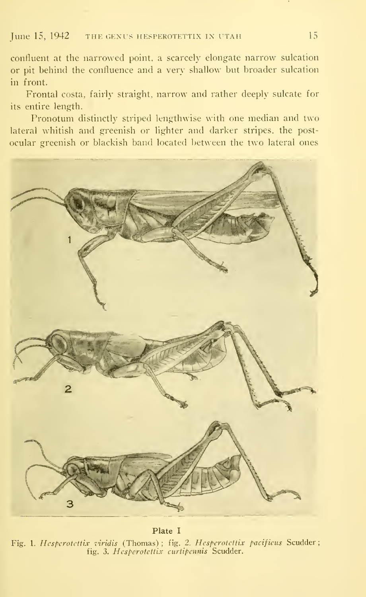## June  $15$ ,  $1942$  the genus hesperotettix in utam 15

confluent at the narrowed point, a scarcely elongate narrow sulcation or pit behind the confluence and a very shallow but broader sulcation in front.

Frontal costa, fairly straight, narrow and rather deeply sulcate for its entire length.

Pronotum distinctly striped lengthwise with one median and two lateral whitish and greenish or lighter and darker stripes, the postocular greenish or blackish band located between the two lateral ones



Plate I Fig. 1. Hesperotettix viridis (Thomas); fig. 2. Hesperotettix pacificus Scudder; fig. 3. Hesperotettix curtipennis Scudder.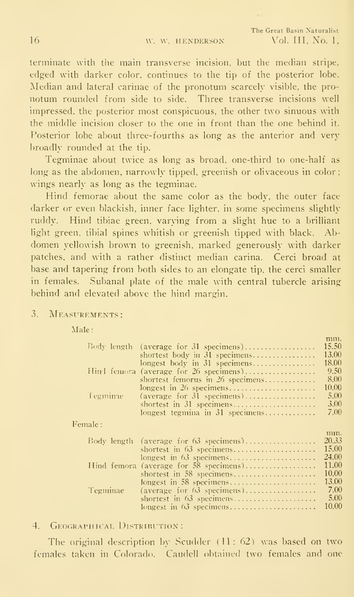mm.

terminate with the main transverse incision, but the median stripe, edged with darker color, continues to the tip of the posterior lobe. Median and lateral carinae of the pronotum scarcely visible, the pro notum rounded from side to side. Three transverse incisions well impressed, the posterior most conspicuous, the other two sinuous with the middle incision closer to the one in front than the one behind it. Posterior lobe about three-fourths as long as the anterior and verybroadly rounded at the tip.

Tegminae about twice as long as broad, one-third to one-half as long as the abdomen, narrowly tipped, greenish or olivaceous in color; wings nearly as long as the tegminae.

Hind femorae about the same color as the body, the outer face darker or even blackish, inner face lighter, in some specimens slightly ruddy. Hind tibiae green, varying from a slight hue to a brilliant light green, tibial spines whitish or greenish tipped with black. Abdomen yellowish brown to greenish, marked generously with darker patches, and with a rather distinct median carina. Cerci broad at base and tapering from both sides to an elongate tip, the cerci smaller in females. Subanal plate of the male with central tubercle arising behind and elevated above the hind margin.

3. Measurements:

Male:

| Body length | (average for 31 specimens)             | 15.50 |
|-------------|----------------------------------------|-------|
|             | shortest body in 31 specimens          | 13.00 |
|             | longest body in 31 specimens           | 18.00 |
|             | Hind femora (average for 26 specimens) | 9.50  |
|             | shortest femorus in 26 specimens       | 8.00  |
|             | longest in 26 specimens                | 10.00 |
| Tegminae    | (average for 31 specimens)             | 5.00  |
|             | shortest in 31 specimens               | 3.00  |
|             | longest tegmina in 31 specimens        | 7.00  |
|             |                                        |       |
| Female:     |                                        |       |
|             |                                        | mm.   |
|             | Body length (average for 63 specimens) | 20.33 |
|             | shortest in 63 specimens               | 15.00 |
|             |                                        | 24.00 |
|             | Hind femora (average for 58 specimens) | 11.00 |
|             | shortest in 58 specimens               | 10.00 |
|             | longest in 58 specimens                | 13.00 |
| Tegminae    | (average for $63$ specimens)           | 7.00  |
|             | shortest in 63 specimens               | 5.00  |
|             | longest in 63 specimens                | 10.00 |
|             |                                        |       |

4. GEOGRAPHICAL DISTRIBUTION:

The original description by Scudder  $(11: 62)$  was based on two females taken in Colorado. Caudell obtained two females and one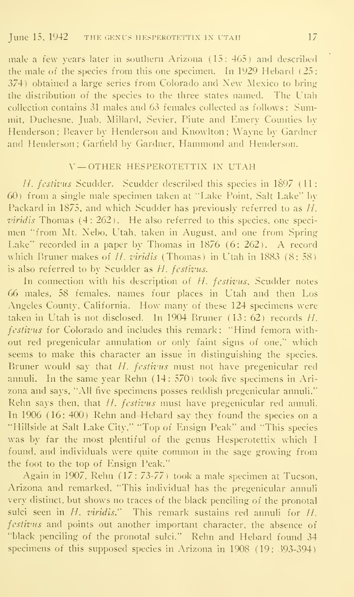male a few years later in southern Arizona (15: 465) and described the male of the species from this one specimen. In 1929 Hebard (25: 374) obtained a large series from Colorado and New Mexico to bring the distribution of the species to the three states named. The Utah collection contains 31 males and 63 females collected as follows: Summit. Duchesne, Juab. Millard, Sevier, Piute and Emery Counties by Henderson; Beaver by Henderson and Knowlton ; Wayne by Gardner and Henderson; Garheld by Gardner, Hammond and Henderson.

#### V — OTHER HESPEROTETTIX IX UTAH

//. fcstivus Scudder. Scudder described this species in 1897 (11: 60) from a single male specimen taken at "Lake Point. Salt Lake" by Packard in 1875. and which Scudder has previously referred to as H. viridis Thomas (4: 262). He also referred to this species, one speci men "from Mt. Nebo, L'tah, taken in August, and one from Spring Lake" recorded in <sup>a</sup> paper by Thomas in <sup>1876</sup> (6: 262). A record which Bruner makes of  $H$ , viridis (Thomas) in Utah in 1883 (8: 58) is also referred to by Scudder as  $H$ . festivus.

In connection with his description of  $H$ . festivus, Scudder notes 66 males, 58 females, names four places in Utah and then Los Angeles County. California. How many of these <sup>124</sup> specimens were taken in Utah is not disclosed. In 1904 Bruner (13: 62) records H. festivus for Colorado and includes this remark: "Hind femora without red pregenicular annulation or only faint signs of one." which seems to make this character an issue in distinguishing the species. Bruner would say that  $H$ . festivus must not have pregenicular red annuli. In the same year Rehn (14: 570) took five specimens in Arizona and says, "All five specimens posses reddish pregenicular annuli." Rehn says then, that  $H$ . festivus must have pregenicular red annuli. In 1906 (16: 400) Rehn and Hebard say they found the species on a "Hillside at Salt Lake City." "Top of Ensign Peak" and "This species was by far the most plentiful of the genus Hesperotettix which <sup>I</sup> found, and individuals were quite common in the sage growing from the foot to the top of Ensign Peak."

Again in 1907. Rehn (17: 73-77) took a male specimen at Tucson, Arizona and remarked. "This individual has the pregenicular annuli very distinct, but shows no traces of the black penciling of the pronotal sulci seen in  $H$ . viridis." This remark sustains red annuli for  $H$ . festivus and points out another important character, the absence of "black penciling of the pronotal sulci." Rehn and Hebard found 34 specimens of this supposed species in Arizona in 1908 (19: 393-394)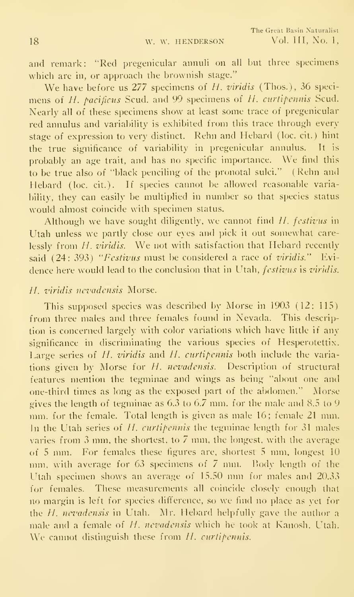and remark: "Red pregenicular annuli on all but three specimens which are in, or approach the brownish stage."

We have before us 277 specimens of H. viridis (Thos.), 36 specimens of H. pacificus Scud, and 99 specimens of H. curtipennis Scud. Nearly all of these specimens show at least some trace of pregenicular red annulus and variability is exhibited from this trace through every stage of expression to very distinct. Rehn and Hebard (loc. cit.) hint<br>the true significance of variability in pregenicular annulus. It is the true significance of variability in pregenicular annulus. probably an age trait, and has no specific importance. We find this to be true also of "black penciling of the pronotal sulci." (Rehn and Hebard (loc. cit.). If species cannot be allowed reasonable variability, they can easily be multiplied in number so that species status would almost coincide with specimen status.

Although we have sought diligently, we cannot find *II. festivus* in Utah unless we partly close our eves and pick it out somewhat carelessly from  $H$ , viridis. We not with satisfaction that Hebard recently said  $(24: 393)$  "Festivus must be considered a race of viridis." Evidence here would lead to the conclusion that in Utah, *festivus* is *viridis*.

#### H. viridis nevadensis Morse.

This supposed species was described by Morse in 1903 (12: 115) from three males and three females found in Nevada. This description is concerned largely with color variations which have little if any significance in discriminating the various species of Hesperotettix. Large series of  $H$ . viridis and  $H$ . curtipennis both include the variations given by Morse for  $H$ . nevadensis. Description of structural features mention the tegminae and wings as being "about one and one-third times as long as the exposed part of the abdomen." Morse gives the length of tegminae as 6.3 to 6.7 mm. for the male and 8.5 to 9 mm. for the female. Total length is given as male 16; female <sup>21</sup> mm. In the Utah series of  $H$ , curtipennis the tegminae length for 31 males varies from 3 mm, the shortest, to 7 mm, the longest, with the average of <sup>5</sup> mm. For females these figures are, shortest <sup>5</sup> mm, longest 10 mm, with average for  $63$  specimens of  $\bar{7}$  mm. Body length of the Utah specimen shows an average of 15.50 mm for males and 20.33 for females. These measurements all coincide closely enough that no margin is left for species difference, so we find no place as yet for the  $H$ . nevadensis in Utah. Mr. Hebard helpfully gave the author a male and a female of *H. nevadensis* which he took at Kanosh. Utah. We cannot distinguish these from H. curtipennis.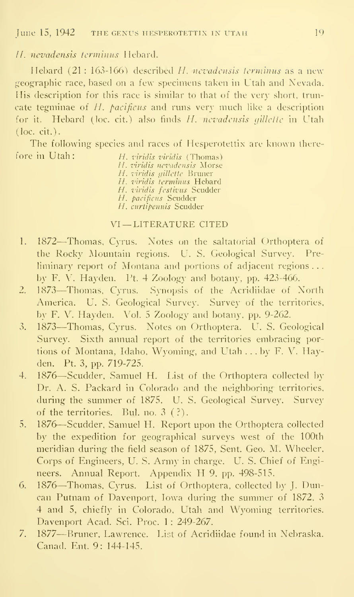## *II. nevadensis terminus* Hebard.

Hebard  $(21:163-166)$  described H, nevadensis terminus as a new geographic race, based on a few specimens taken in Utah and Nevada. His description for this race is similar to that of the very short, truncate tegminae of H. pacificus and runs very much like a description for it. Hebard (loc. cit.) also finds  $H$ , nevadensis gillette in Utah (loc. cit.).

The following species and races of Hesperotettix are known therefore in Utah:  $H$ , viridis viridis (Thomas)

H. viridis nevadensis Morse H. viridis gillette Bruner H. viridis terminus Hebard H. *viridis festivus* Scudder H. pacificus Scudder **and La** H. curtipennis Scudder

#### VI — LITERATURE CITED

- 1. <sup>1872</sup>—Thomas, Cyrus. Notes on the saltatorial Orthoptera of the Rocky Mountain regions. U. S. Geological Survey. Preliminary report of Montana and portions of adjacent regions . . .by F. V. Hayden. Ft. 4 Zoology and botany, pp. 423-466.
- 2. <sup>1873</sup>—Thomas, Cyrus. Synopsis of the Acridiidae of North America. U. S. Geological Survey. Survey of the territories, by F. V. Hayden. Vol. <sup>5</sup> Zoology and botany, pp. 9-262.
- 3. <sup>1873</sup>—Thomas, Cyrus. Notes on Orthoptera. U. S. Geological Survey. Sixth annual report of the territories embracing portions of Montana, Idaho, Wyoming, and Utah ... by F. V. Hayden. Pt. 3, pp. 719-725.
- 4. 1876—Scudder, Samuel H. List of the Orthoptera collected by-Dr. A. S. Packard in Colorado and the neighboring territories, during the summer of 1875. U. S. Geological Survey. Survey of the territories. Bui. no. 3 (?).
- 5. <sup>1876</sup>—Scudder, Samuel H. Report upon the Orthoptera collected by the expedition for geographical surveys west of the 100th meridian during the field season of 1875, Sent. Geo. M. Wheeler. Corps of Engineers, U. S. Army in charge. U. S. Chief of Engineers. Annual Report. Appendix H 9, pp. 498-515.
- 6. <sup>1876</sup>—Thomas, Cyrus. List of Orthoptera, collected by J. Duncan Putnam of Davenport, Iowa during the summer of 1872, <sup>3</sup> 4 and 5, chiefly in Colorado, Utah and Wyoming territories. Davenport Acad. Sci. Proc. 1: 249-267.
- 7. 1877—Bruner, Lawrence. List of Acridiidae found in Nebraska. Canad. Ent. 9: 144-145.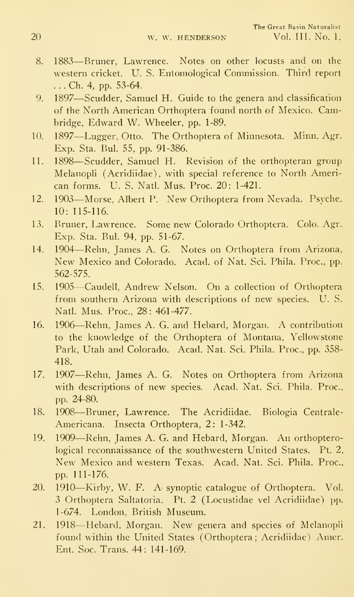- 8. <sup>1883</sup>—Bruner, Lawrence. Notes on other locusts and on the western cricket. U. S. Entomological Commission. Third report . . . Ch. 4, pp. 53-64.
- 9. <sup>1897</sup>—Scudder, Samuel H. Guide to the genera and classification of the North American Orthoptera found north of Mexico. Cambridge, Edward W. Wheeler, pp. 1-89.
- 10. <sup>1897</sup>—Lugger, Otto. The Orthoptera of Minnesota. Minn. Agr. Exp. Sta. Bui. 55, pp. 91-386.
- 11. <sup>1898</sup>—Scudder, Samuel H. Revision of the orthopteran group Melanopli (Acridiidae), with special reference to North American forms. U. S. Natl. Mus. Proc. 20: 1-421.
- 12. <sup>1903</sup>—Morse, Albert P. New Orthoptera from Nevada. Psyche, 10: 115-116.
- 13. Bruner, Lawrence. Some new Colorado Orthoptera. Colo. Agr. Exp. Sta. Bui. 94, pp. 51-67.
- 14. <sup>1904</sup>—Rehn, James A. G. Notes on Orthoptera from Arizona, New Mexico and Colorado. Acad, of Nat. Sci. Phila. Proc. pp. 562-575.
- 15. 1905-Caudell, Andrew Nelson. On a collection of Orthoptera from southern Arizona with descriptions of new species. U. S. Natl. Mus. Proc, 28: 461-477.
- 16. <sup>1906</sup>—Rehn, James A. G. and Hebard, Morgan. A contribution to the knowledge of the Orthoptera of Montana. Yellowstone Park, Utah and Colorado. Acad. Nat. Sci. Phila. Proc, pp. 358- 418.
- 17. <sup>1907</sup>—Rehn, James A. G. Notes on Orthoptera from Arizona with descriptions of new species. Acad. Nat. Sci. Phila. Proc, pp. 24-80.
- 18. <sup>1908</sup>—Bruner, Lawrence. The Acridiidae. Biologia Centrale-Americana. Insecta Orthoptera, 2: 1-342.
- 19. <sup>1909</sup>—Rehn, James A. G. and Hebard, Morgan. An orthopterological reconnaissance of the southwestern United States. Pt. 2. New Mexico and western Texas. Acad. Nat. Sci. Phila. Proc. pp. 111-176.
- 20. 1910—Kirby, W. F. A synoptic catalogue of Orthoptera. Vol. 3 Orthoptera Saltatoria. Pt. 2 (Locustidae vel Acridiidae) pp. 1-674. London, British Museum.
- 21. <sup>1918</sup>—Hebard, Morgan. New genera and species of Melanopli found within the United States (Orthoptera; Acridiidae) Amer. Ent. Soc Trans. 44: 141-169.